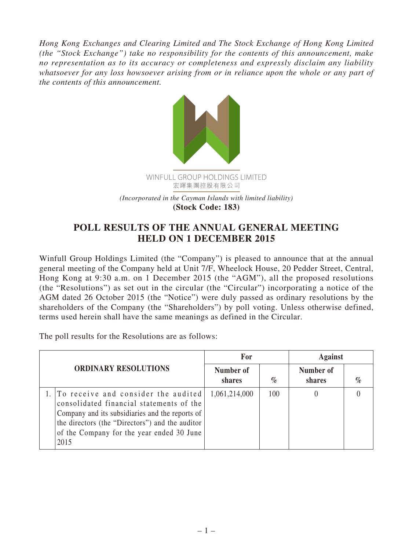*Hong Kong Exchanges and Clearing Limited and The Stock Exchange of Hong Kong Limited (the "Stock Exchange") take no responsibility for the contents of this announcement, make no representation as to its accuracy or completeness and expressly disclaim any liability whatsoever for any loss howsoever arising from or in reliance upon the whole or any part of the contents of this announcement.*



## **POLL RESULTS OF THE ANNUAL GENERAL MEETING HELD ON 1 DECEMBER 2015**

Winfull Group Holdings Limited (the "Company") is pleased to announce that at the annual general meeting of the Company held at Unit 7/F, Wheelock House, 20 Pedder Street, Central, Hong Kong at 9:30 a.m. on 1 December 2015 (the "AGM"), all the proposed resolutions (the "Resolutions") as set out in the circular (the "Circular") incorporating a notice of the AGM dated 26 October 2015 (the "Notice") were duly passed as ordinary resolutions by the shareholders of the Company (the "Shareholders") by poll voting. Unless otherwise defined, terms used herein shall have the same meanings as defined in the Circular.

The poll results for the Resolutions are as follows:

| <b>ORDINARY RESOLUTIONS</b> |                                                                                                                                                                                                                                               | For                 |      | <b>Against</b>      |      |
|-----------------------------|-----------------------------------------------------------------------------------------------------------------------------------------------------------------------------------------------------------------------------------------------|---------------------|------|---------------------|------|
|                             |                                                                                                                                                                                                                                               | Number of<br>shares | $\%$ | Number of<br>shares | $\%$ |
|                             | 1. To receive and consider the audited<br>consolidated financial statements of the<br>Company and its subsidiaries and the reports of<br>the directors (the "Directors") and the auditor<br>of the Company for the year ended 30 June<br>2015 | 1,061,214,000       | 100  |                     |      |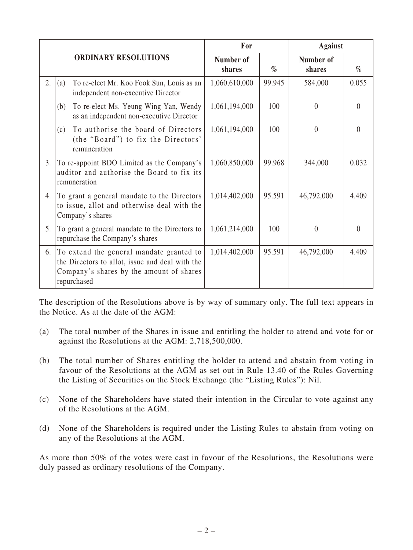|                             |                                                                                                                |                                                                                                                                         | For                 |        | <b>Against</b>      |          |
|-----------------------------|----------------------------------------------------------------------------------------------------------------|-----------------------------------------------------------------------------------------------------------------------------------------|---------------------|--------|---------------------|----------|
| <b>ORDINARY RESOLUTIONS</b> |                                                                                                                |                                                                                                                                         | Number of<br>shares | $\%$   | Number of<br>shares | $\%$     |
| 2.                          | (a)                                                                                                            | To re-elect Mr. Koo Fook Sun, Louis as an<br>independent non-executive Director                                                         | 1,060,610,000       | 99.945 | 584,000             | 0.055    |
|                             | (b)                                                                                                            | To re-elect Ms. Yeung Wing Yan, Wendy<br>as an independent non-executive Director                                                       | 1,061,194,000       | 100    | $\theta$            | $\theta$ |
|                             | (c)                                                                                                            | To authorise the board of Directors<br>(the "Board") to fix the Directors'<br>remuneration                                              | 1,061,194,000       | 100    | $\theta$            | $\theta$ |
| 3.                          | To re-appoint BDO Limited as the Company's<br>auditor and authorise the Board to fix its<br>remuneration       |                                                                                                                                         | 1,060,850,000       | 99.968 | 344,000             | 0.032    |
| 4.                          | To grant a general mandate to the Directors<br>to issue, allot and otherwise deal with the<br>Company's shares |                                                                                                                                         | 1,014,402,000       | 95.591 | 46,792,000          | 4.409    |
| 5.                          | To grant a general mandate to the Directors to<br>repurchase the Company's shares                              |                                                                                                                                         | 1,061,214,000       | 100    | $\theta$            | $\theta$ |
| 6.                          | repurchased                                                                                                    | To extend the general mandate granted to<br>the Directors to allot, issue and deal with the<br>Company's shares by the amount of shares | 1,014,402,000       | 95.591 | 46,792,000          | 4.409    |

The description of the Resolutions above is by way of summary only. The full text appears in the Notice. As at the date of the AGM:

- (a) The total number of the Shares in issue and entitling the holder to attend and vote for or against the Resolutions at the AGM: 2,718,500,000.
- (b) The total number of Shares entitling the holder to attend and abstain from voting in favour of the Resolutions at the AGM as set out in Rule 13.40 of the Rules Governing the Listing of Securities on the Stock Exchange (the "Listing Rules"): Nil.
- (c) None of the Shareholders have stated their intention in the Circular to vote against any of the Resolutions at the AGM.
- (d) None of the Shareholders is required under the Listing Rules to abstain from voting on any of the Resolutions at the AGM.

As more than 50% of the votes were cast in favour of the Resolutions, the Resolutions were duly passed as ordinary resolutions of the Company.